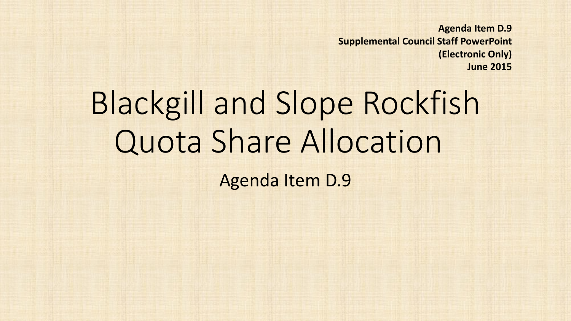**Agenda Item D.9 Supplemental Council Staff PowerPoint (Electronic Only) June 2015**

## Blackgill and Slope Rockfish Quota Share Allocation

Agenda Item D.9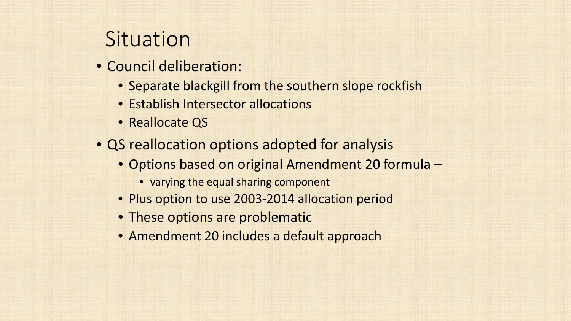## **Situation**

- Council deliberation:
	- Separate blackgill from the southern slope rockfish
	- Establish Intersector allocations
	- Reallocate QS
- QS reallocation options adopted for analysis
	- Options based on original Amendment 20 formula
		- varying the equal sharing component
	- Plus option to use 2003-2014 allocation period
	- These options are problematic
	- Amendment 20 includes a default approach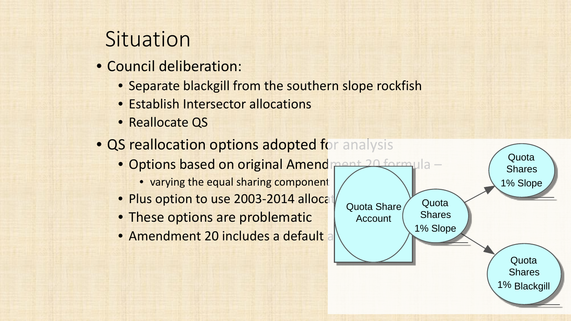## **Situation**

- Council deliberation:
	- Separate blackgill from the southern slope rockfish
	- Establish Intersector allocations
	- Reallocate QS
- QS reallocation options adopted for analysis
	- Options based on original Amendment 20 formula -
		- varying the equal sharing component
	- Plus option to use 2003-2014 allocat
	- These options are problematic
	- Amendment 20 includes a default

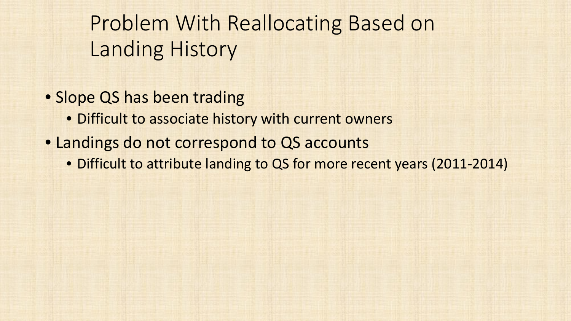Problem With Reallocating Based on Landing History

- Slope QS has been trading
	- Difficult to associate history with current owners
- Landings do not correspond to QS accounts
	- Difficult to attribute landing to QS for more recent years (2011-2014)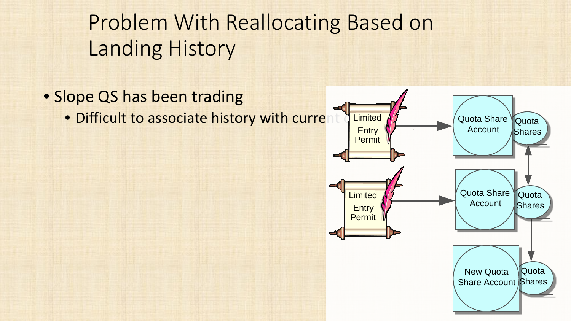Problem With Reallocating Based on Landing History

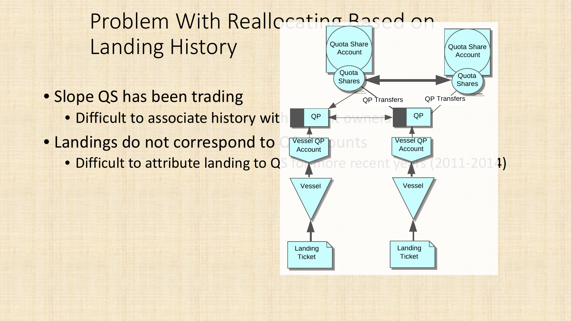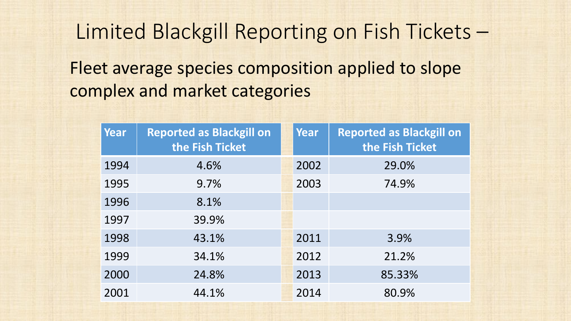Limited Blackgill Reporting on Fish Tickets – Fleet average species composition applied to slope

complex and market categories

| Year | <b>Reported as Blackgill on</b><br>the Fish Ticket | Year | <b>Reported as Blackgill on</b><br>the Fish Ticket |
|------|----------------------------------------------------|------|----------------------------------------------------|
| 1994 | 4.6%                                               | 2002 | 29.0%                                              |
| 1995 | 9.7%                                               | 2003 | 74.9%                                              |
| 1996 | 8.1%                                               |      |                                                    |
| 1997 | 39.9%                                              |      |                                                    |
| 1998 | 43.1%                                              | 2011 | 3.9%                                               |
| 1999 | 34.1%                                              | 2012 | 21.2%                                              |
| 2000 | 24.8%                                              | 2013 | 85.33%                                             |
| 2001 | 44.1%                                              | 2014 | 80.9%                                              |